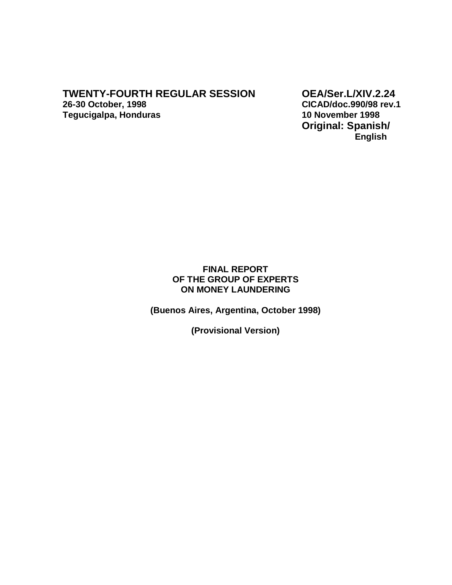**Tegucigalpa, Honduras** 

**TWENTY-FOURTH REGULAR SESSION OEA/Ser.L/XIV.2.24**<br>26-30 October, 1998 CICAD/doc.990/98 rev.1 **26-30 October, 1998 CICAD/doc.990/98 rev.1 Original: Spanish/ English** 

# **FINAL REPORT OF THE GROUP OF EXPERTS ON MONEY LAUNDERING**

**(Buenos Aires, Argentina, October 1998)** 

**(Provisional Version)**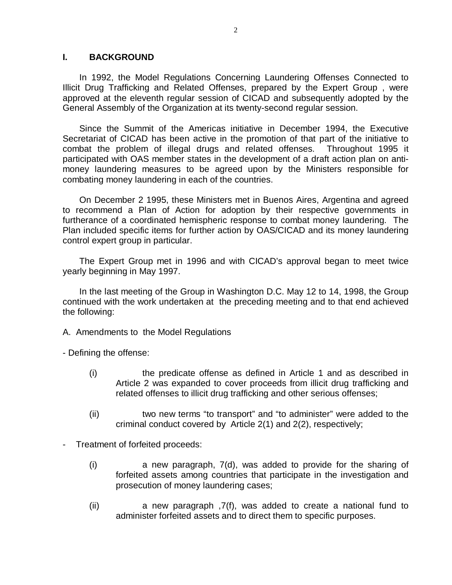# **I. BACKGROUND**

In 1992, the Model Regulations Concerning Laundering Offenses Connected to Illicit Drug Trafficking and Related Offenses, prepared by the Expert Group , were approved at the eleventh regular session of CICAD and subsequently adopted by the General Assembly of the Organization at its twenty-second regular session.

Since the Summit of the Americas initiative in December 1994, the Executive Secretariat of CICAD has been active in the promotion of that part of the initiative to combat the problem of illegal drugs and related offenses. Throughout 1995 it participated with OAS member states in the development of a draft action plan on antimoney laundering measures to be agreed upon by the Ministers responsible for combating money laundering in each of the countries.

On December 2 1995, these Ministers met in Buenos Aires, Argentina and agreed to recommend a Plan of Action for adoption by their respective governments in furtherance of a coordinated hemispheric response to combat money laundering. The Plan included specific items for further action by OAS/CICAD and its money laundering control expert group in particular.

The Expert Group met in 1996 and with CICAD's approval began to meet twice yearly beginning in May 1997.

In the last meeting of the Group in Washington D.C. May 12 to 14, 1998, the Group continued with the work undertaken at the preceding meeting and to that end achieved the following:

A. Amendments to the Model Regulations

- Defining the offense:

- (i) the predicate offense as defined in Article 1 and as described in Article 2 was expanded to cover proceeds from illicit drug trafficking and related offenses to illicit drug trafficking and other serious offenses;
- (ii) two new terms "to transport" and "to administer" were added to the criminal conduct covered by Article 2(1) and 2(2), respectively;
- Treatment of forfeited proceeds:
	- (i) a new paragraph, 7(d), was added to provide for the sharing of forfeited assets among countries that participate in the investigation and prosecution of money laundering cases;
	- (ii) a new paragraph ,7(f), was added to create a national fund to administer forfeited assets and to direct them to specific purposes.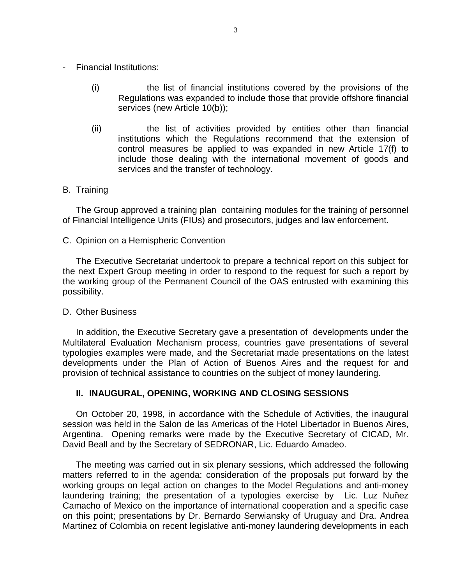- Financial Institutions:
	- (i) the list of financial institutions covered by the provisions of the Regulations was expanded to include those that provide offshore financial services (new Article 10(b));
	- (ii) the list of activities provided by entities other than financial institutions which the Regulations recommend that the extension of control measures be applied to was expanded in new Article 17(f) to include those dealing with the international movement of goods and services and the transfer of technology.

# B. Training

The Group approved a training plan containing modules for the training of personnel of Financial Intelligence Units (FIUs) and prosecutors, judges and law enforcement.

C. Opinion on a Hemispheric Convention

The Executive Secretariat undertook to prepare a technical report on this subject for the next Expert Group meeting in order to respond to the request for such a report by the working group of the Permanent Council of the OAS entrusted with examining this possibility.

## D. Other Business

In addition, the Executive Secretary gave a presentation of developments under the Multilateral Evaluation Mechanism process, countries gave presentations of several typologies examples were made, and the Secretariat made presentations on the latest developments under the Plan of Action of Buenos Aires and the request for and provision of technical assistance to countries on the subject of money laundering.

# **II. INAUGURAL, OPENING, WORKING AND CLOSING SESSIONS**

On October 20, 1998, in accordance with the Schedule of Activities, the inaugural session was held in the Salon de las Americas of the Hotel Libertador in Buenos Aires, Argentina. Opening remarks were made by the Executive Secretary of CICAD, Mr. David Beall and by the Secretary of SEDRONAR, Lic. Eduardo Amadeo.

The meeting was carried out in six plenary sessions, which addressed the following matters referred to in the agenda: consideration of the proposals put forward by the working groups on legal action on changes to the Model Regulations and anti-money laundering training; the presentation of a typologies exercise by Lic. Luz Nuñez Camacho of Mexico on the importance of international cooperation and a specific case on this point; presentations by Dr. Bernardo Serwiansky of Uruguay and Dra. Andrea Martinez of Colombia on recent legislative anti-money laundering developments in each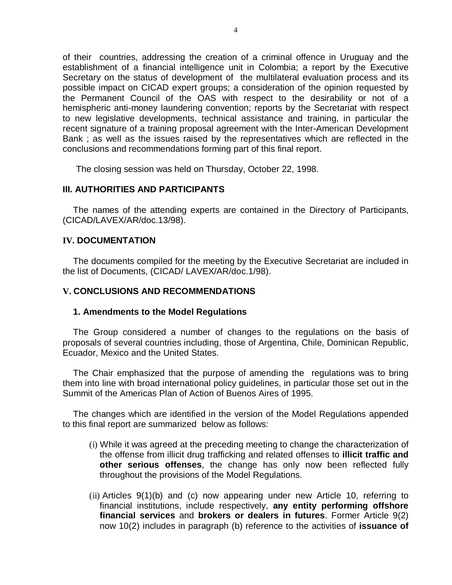of their countries, addressing the creation of a criminal offence in Uruguay and the establishment of a financial intelligence unit in Colombia; a report by the Executive Secretary on the status of development of the multilateral evaluation process and its possible impact on CICAD expert groups; a consideration of the opinion requested by the Permanent Council of the OAS with respect to the desirability or not of a hemispheric anti-money laundering convention; reports by the Secretariat with respect to new legislative developments, technical assistance and training, in particular the recent signature of a training proposal agreement with the Inter-American Development Bank ; as well as the issues raised by the representatives which are reflected in the conclusions and recommendations forming part of this final report.

The closing session was held on Thursday, October 22, 1998.

# **III. AUTHORITIES AND PARTICIPANTS**

The names of the attending experts are contained in the Directory of Participants, (CICAD/LAVEX/AR/doc.13/98).

# **IV. DOCUMENTATION**

The documents compiled for the meeting by the Executive Secretariat are included in the list of Documents, (CICAD/ LAVEX/AR/doc.1/98).

# **V. CONCLUSIONS AND RECOMMENDATIONS**

## **1. Amendments to the Model Regulations**

The Group considered a number of changes to the regulations on the basis of proposals of several countries including, those of Argentina, Chile, Dominican Republic, Ecuador, Mexico and the United States.

The Chair emphasized that the purpose of amending the regulations was to bring them into line with broad international policy guidelines, in particular those set out in the Summit of the Americas Plan of Action of Buenos Aires of 1995.

The changes which are identified in the version of the Model Regulations appended to this final report are summarized below as follows:

- (i) While it was agreed at the preceding meeting to change the characterization of the offense from illicit drug trafficking and related offenses to **illicit traffic and other serious offenses**, the change has only now been reflected fully throughout the provisions of the Model Regulations.
- (ii) Articles 9(1)(b) and (c) now appearing under new Article 10, referring to financial institutions, include respectively, **any entity performing offshore financial services** and **brokers or dealers in futures**. Former Article 9(2) now 10(2) includes in paragraph (b) reference to the activities of **issuance of**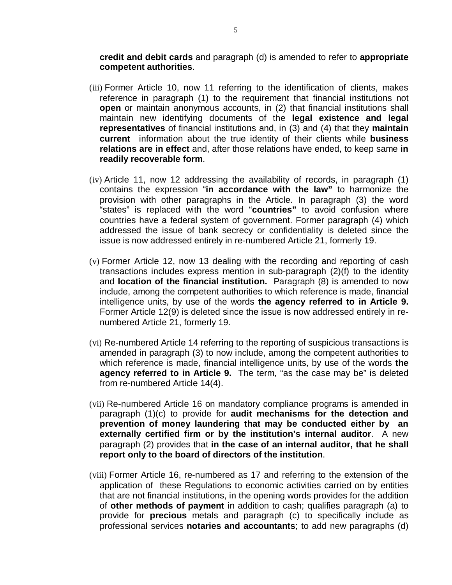**credit and debit cards** and paragraph (d) is amended to refer to **appropriate competent authorities**.

- (iii) Former Article 10, now 11 referring to the identification of clients, makes reference in paragraph (1) to the requirement that financial institutions not **open** or maintain anonymous accounts, in (2) that financial institutions shall maintain new identifying documents of the **legal existence and legal representatives** of financial institutions and, in (3) and (4) that they **maintain current** information about the true identity of their clients while **business relations are in effect** and, after those relations have ended, to keep same **in readily recoverable form**.
- (iv) Article 11, now 12 addressing the availability of records, in paragraph (1) contains the expression "**in accordance with the law"** to harmonize the provision with other paragraphs in the Article. In paragraph (3) the word "states" is replaced with the word "**countries"** to avoid confusion where countries have a federal system of government. Former paragraph (4) which addressed the issue of bank secrecy or confidentiality is deleted since the issue is now addressed entirely in re-numbered Article 21, formerly 19.
- (v) Former Article 12, now 13 dealing with the recording and reporting of cash transactions includes express mention in sub-paragraph (2)(f) to the identity and **location of the financial institution.** Paragraph (8) is amended to now include, among the competent authorities to which reference is made, financial intelligence units, by use of the words **the agency referred to in Article 9.**  Former Article 12(9) is deleted since the issue is now addressed entirely in renumbered Article 21, formerly 19.
- (vi) Re-numbered Article 14 referring to the reporting of suspicious transactions is amended in paragraph (3) to now include, among the competent authorities to which reference is made, financial intelligence units, by use of the words **the agency referred to in Article 9.** The term, "as the case may be" is deleted from re-numbered Article 14(4).
- (vii) Re-numbered Article 16 on mandatory compliance programs is amended in paragraph (1)(c) to provide for **audit mechanisms for the detection and prevention of money laundering that may be conducted either by an externally certified firm or by the institution's internal auditor**. A new paragraph (2) provides that **in the case of an internal auditor, that he shall report only to the board of directors of the institution**.
- (viii) Former Article 16, re-numbered as 17 and referring to the extension of the application of these Regulations to economic activities carried on by entities that are not financial institutions, in the opening words provides for the addition of **other methods of payment** in addition to cash; qualifies paragraph (a) to provide for **precious** metals and paragraph (c) to specifically include as professional services **notaries and accountants**; to add new paragraphs (d)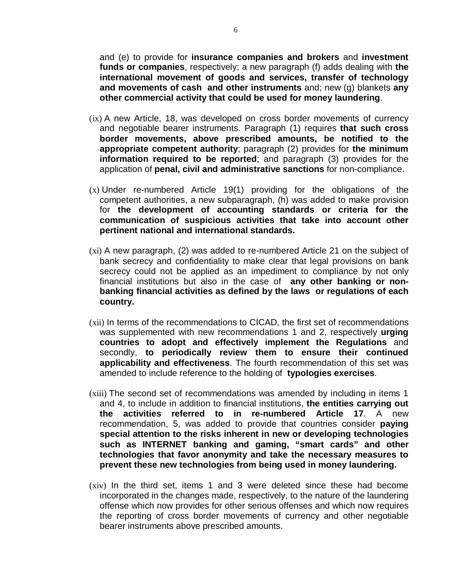and (e) to provide for **insurance companies and brokers** and **investment funds or companies**, respectively; a new paragraph (f) adds dealing with **the international movement of goods and services, transfer of technology and movements of cash and other instruments** and; new (g) blankets **any other commercial activity that could be used for money laundering**.

- (ix) A new Article, 18, was developed on cross border movements of currency and negotiable bearer instruments. Paragraph (1) requires **that such cross border movements, above prescribed amounts, be notified to the appropriate competent authority**; paragraph (2) provides for **the minimum information required to be reported**; and paragraph (3) provides for the application of **penal, civil and administrative sanctions** for non-compliance.
- (x) Under re-numbered Article 19(1) providing for the obligations of the competent authorities, a new subparagraph, (h) was added to make provision for **the development of accounting standards or criteria for the communication of suspicious activities that take into account other pertinent national and international standards.**
- (xi) A new paragraph, (2) was added to re-numbered Article 21 on the subject of bank secrecy and confidentiality to make clear that legal provisions on bank secrecy could not be applied as an impediment to compliance by not only financial institutions but also in the case of **any other banking or nonbanking financial activities as defined by the laws or regulations of each country.**
- (xii) In terms of the recommendations to CICAD, the first set of recommendations was supplemented with new recommendations 1 and 2, respectively **urging countries to adopt and effectively implement the Regulations** and secondly, **to periodically review them to ensure their continued applicability and effectiveness**. The fourth recommendation of this set was amended to include reference to the holding of **typologies exercises**.
- (xiii) The second set of recommendations was amended by including in items 1 and 4, to include in addition to financial institutions, **the entities carrying out the activities referred to in re-numbered Article 17**. A new recommendation, 5, was added to provide that countries consider **paying special attention to the risks inherent in new or developing technologies such as INTERNET banking and gaming, "smart cards" and other technologies that favor anonymity and take the necessary measures to prevent these new technologies from being used in money laundering.**
- (xiv) In the third set, items 1 and 3 were deleted since these had become incorporated in the changes made, respectively, to the nature of the laundering offense which now provides for other serious offenses and which now requires the reporting of cross border movements of currency and other negotiable bearer instruments above prescribed amounts.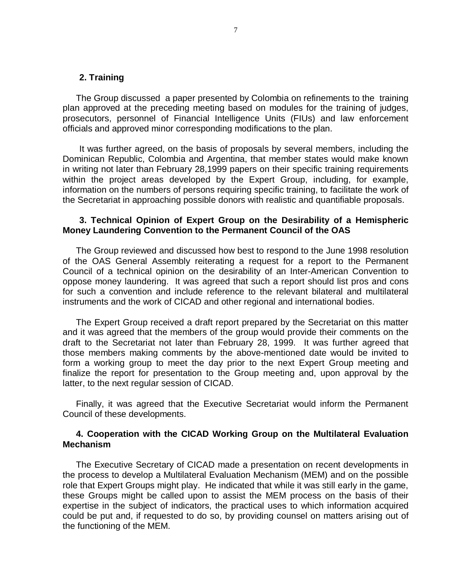#### **2. Training**

The Group discussed a paper presented by Colombia on refinements to the training plan approved at the preceding meeting based on modules for the training of judges, prosecutors, personnel of Financial Intelligence Units (FIUs) and law enforcement officials and approved minor corresponding modifications to the plan.

It was further agreed, on the basis of proposals by several members, including the Dominican Republic, Colombia and Argentina, that member states would make known in writing not later than February 28,1999 papers on their specific training requirements within the project areas developed by the Expert Group, including, for example, information on the numbers of persons requiring specific training, to facilitate the work of the Secretariat in approaching possible donors with realistic and quantifiable proposals.

### **3. Technical Opinion of Expert Group on the Desirability of a Hemispheric Money Laundering Convention to the Permanent Council of the OAS**

The Group reviewed and discussed how best to respond to the June 1998 resolution of the OAS General Assembly reiterating a request for a report to the Permanent Council of a technical opinion on the desirability of an Inter-American Convention to oppose money laundering. It was agreed that such a report should list pros and cons for such a convention and include reference to the relevant bilateral and multilateral instruments and the work of CICAD and other regional and international bodies.

The Expert Group received a draft report prepared by the Secretariat on this matter and it was agreed that the members of the group would provide their comments on the draft to the Secretariat not later than February 28, 1999. It was further agreed that those members making comments by the above-mentioned date would be invited to form a working group to meet the day prior to the next Expert Group meeting and finalize the report for presentation to the Group meeting and, upon approval by the latter, to the next regular session of CICAD.

Finally, it was agreed that the Executive Secretariat would inform the Permanent Council of these developments.

# **4. Cooperation with the CICAD Working Group on the Multilateral Evaluation Mechanism**

The Executive Secretary of CICAD made a presentation on recent developments in the process to develop a Multilateral Evaluation Mechanism (MEM) and on the possible role that Expert Groups might play. He indicated that while it was still early in the game, these Groups might be called upon to assist the MEM process on the basis of their expertise in the subject of indicators, the practical uses to which information acquired could be put and, if requested to do so, by providing counsel on matters arising out of the functioning of the MEM.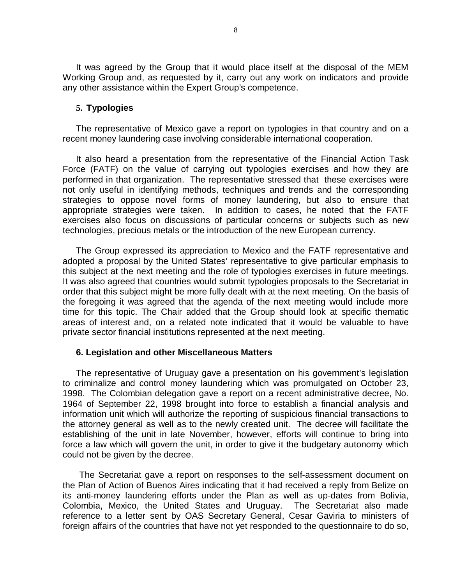It was agreed by the Group that it would place itself at the disposal of the MEM Working Group and, as requested by it, carry out any work on indicators and provide any other assistance within the Expert Group's competence.

# **5. Typologies**

The representative of Mexico gave a report on typologies in that country and on a recent money laundering case involving considerable international cooperation.

It also heard a presentation from the representative of the Financial Action Task Force (FATF) on the value of carrying out typologies exercises and how they are performed in that organization. The representative stressed that these exercises were not only useful in identifying methods, techniques and trends and the corresponding strategies to oppose novel forms of money laundering, but also to ensure that appropriate strategies were taken. In addition to cases, he noted that the FATF exercises also focus on discussions of particular concerns or subjects such as new technologies, precious metals or the introduction of the new European currency.

The Group expressed its appreciation to Mexico and the FATF representative and adopted a proposal by the United States' representative to give particular emphasis to this subject at the next meeting and the role of typologies exercises in future meetings. It was also agreed that countries would submit typologies proposals to the Secretariat in order that this subject might be more fully dealt with at the next meeting. On the basis of the foregoing it was agreed that the agenda of the next meeting would include more time for this topic. The Chair added that the Group should look at specific thematic areas of interest and, on a related note indicated that it would be valuable to have private sector financial institutions represented at the next meeting.

## **6. Legislation and other Miscellaneous Matters**

The representative of Uruguay gave a presentation on his government's legislation to criminalize and control money laundering which was promulgated on October 23, 1998. The Colombian delegation gave a report on a recent administrative decree, No. 1964 of September 22, 1998 brought into force to establish a financial analysis and information unit which will authorize the reporting of suspicious financial transactions to the attorney general as well as to the newly created unit. The decree will facilitate the establishing of the unit in late November, however, efforts will continue to bring into force a law which will govern the unit, in order to give it the budgetary autonomy which could not be given by the decree.

The Secretariat gave a report on responses to the self-assessment document on the Plan of Action of Buenos Aires indicating that it had received a reply from Belize on its anti-money laundering efforts under the Plan as well as up-dates from Bolivia, Colombia, Mexico, the United States and Uruguay. The Secretariat also made reference to a letter sent by OAS Secretary General, Cesar Gaviria to ministers of foreign affairs of the countries that have not yet responded to the questionnaire to do so,